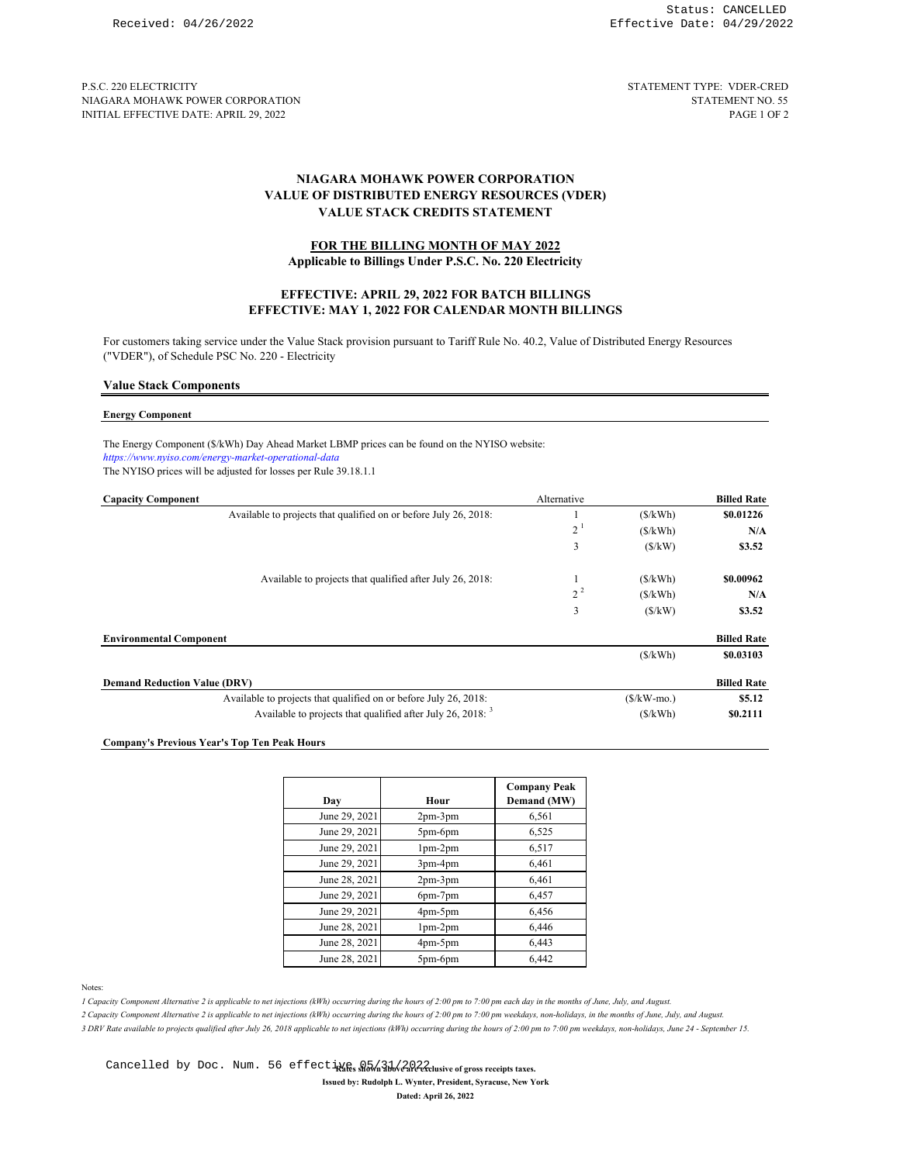P.S.C. 220 ELECTRICITY STATEMENT TYPE: VDER-CRED NIAGARA MOHAWK POWER CORPORATION STATEMENT NO. 55<br>INITIAL EFFECTIVE DATE: APRIL 29, 2022 INITIAL EFFECTIVE DATE: APRIL 29, 2022

# **VALUE OF DISTRIBUTED ENERGY RESOURCES (VDER) NIAGARA MOHAWK POWER CORPORATION VALUE STACK CREDITS STATEMENT**

## **FOR THE BILLING MONTH OF MAY 2022**

**Applicable to Billings Under P.S.C. No. 220 Electricity**

### **EFFECTIVE: MAY 1, 2022 FOR CALENDAR MONTH BILLINGS EFFECTIVE: APRIL 29, 2022 FOR BATCH BILLINGS**

For customers taking service under the Value Stack provision pursuant to Tariff Rule No. 40.2, Value of Distributed Energy Resources ("VDER"), of Schedule PSC No. 220 - Electricity

#### **Value Stack Components**

# **Energy Component**

The Energy Component (\$/kWh) Day Ahead Market LBMP prices can be found on the NYISO website: *https://www.nyiso.com/energy-market-operational-data* The NYISO prices will be adjusted for losses per Rule 39.18.1.1

| <b>Capacity Component</b>                                        | Alternative    |               | <b>Billed Rate</b> |
|------------------------------------------------------------------|----------------|---------------|--------------------|
| Available to projects that qualified on or before July 26, 2018: |                | (S/kWh)       | \$0.01226          |
|                                                                  | 2 <sup>1</sup> | (S/kWh)       | N/A                |
|                                                                  | 3              | (S/kW)        | \$3.52             |
| Available to projects that qualified after July 26, 2018:        |                | (S/kWh)       | \$0.00962          |
|                                                                  | $2^2$          | (S/kWh)       | N/A                |
|                                                                  | 3              | (S/kW)        | \$3.52             |
| <b>Environmental Component</b>                                   |                |               | <b>Billed Rate</b> |
|                                                                  |                | (S/kWh)       | \$0.03103          |
| <b>Demand Reduction Value (DRV)</b>                              |                |               | <b>Billed Rate</b> |
| Available to projects that qualified on or before July 26, 2018: |                | $(S/kW$ -mo.) | \$5.12             |
| Available to projects that qualified after July 26, 2018: $3$    |                | (S/kWh)       | \$0.2111           |

### **Company's Previous Year's Top Ten Peak Hours**

| Day           | Hour          | <b>Company Peak</b><br>Demand (MW) |
|---------------|---------------|------------------------------------|
| June 29, 2021 | $2pm-3pm$     | 6,561                              |
| June 29, 2021 | $5pm-6$ pm    | 6,525                              |
| June 29, 2021 | $1pm-2pm$     | 6,517                              |
| June 29, 2021 | $3pm-4pm$     | 6,461                              |
| June 28, 2021 | $2pm-3pm$     | 6,461                              |
| June 29, 2021 | $6pm-7pm$     | 6,457                              |
| June 29, 2021 | $4pm-5pm$     | 6,456                              |
| June 28, 2021 | $1pm-2pm$     | 6,446                              |
| June 28, 2021 | $4pm-5pm$     | 6,443                              |
| June 28, 2021 | $5pm$ -6 $pm$ | 6,442                              |

Notes:

*1 Capacity Component Alternative 2 is applicable to net injections (kWh) occurring during the hours of 2:00 pm to 7:00 pm each day in the months of June, July, and August.* 

*2 Capacity Component Alternative 2 is applicable to net injections (kWh) occurring during the hours of 2:00 pm to 7:00 pm weekdays, non-holidays, in the months of June, July, and August. 3 DRV Rate available to projects qualified after July 26, 2018 applicable to net injections (kWh) occurring during the hours of 2:00 pm to 7:00 pm weekdays, non-holidays, June 24 - September 15.* 

**Issued by: Rudolph L. Wynter, President, Syracuse, New York** Cancelled by Doc. Num. 56 effectives above above 2222 usive of gross receipts taxes.

**Dated: April 26, 2022**